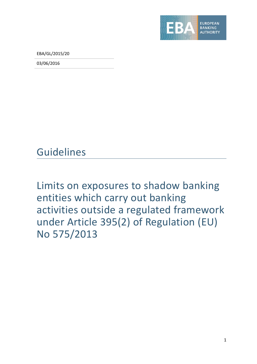

EBA/GL/2015/20

03/06/2016

Guidelines

Limits on exposures to shadow banking entities which carry out banking activities outside a regulated framework under Article 395(2) of Regulation (EU) No 575/2013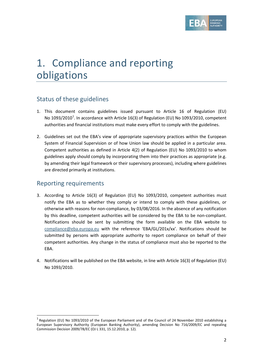

# 1. Compliance and reporting obligations

## Status of these guidelines

- 1. This document contains guidelines issued pursuant to Article 16 of Regulation (EU) No [1](#page-1-0)093/2010<sup>1</sup>. In accordance with Article 16(3) of Regulation (EU) No 1093/2010, competent authorities and financial institutions must make every effort to comply with the guidelines.
- 2. Guidelines set out the EBA's view of appropriate supervisory practices within the European System of Financial Supervision or of how Union law should be applied in a particular area. Competent authorities as defined in Article 4(2) of Regulation (EU) No 1093/2010 to whom guidelines apply should comply by incorporating them into their practices as appropriate (e.g. by amending their legal framework or their supervisory processes), including where guidelines are directed primarily at institutions.

### Reporting requirements

- 3. According to Article 16(3) of Regulation (EU) No 1093/2010, competent authorities must notify the EBA as to whether they comply or intend to comply with these guidelines, or otherwise with reasons for non-compliance, by 03/08/2016. In the absence of any notification by this deadline, competent authorities will be considered by the EBA to be non-compliant. Notifications should be sent by submitting the form available on the EBA website to [compliance@eba.europa.eu](mailto:compliance@eba.europa.eu) with the reference 'EBA/GL/201x/xx'. Notifications should be submitted by persons with appropriate authority to report compliance on behalf of their competent authorities. Any change in the status of compliance must also be reported to the EBA.
- 4. Notifications will be published on the EBA website, in line with Article 16(3) of Regulation (EU) No 1093/2010.

<span id="page-1-0"></span> $<sup>1</sup>$  Regulation (EU) No 1093/2010 of the European Parliament and of the Council of 24 November 2010 establishing a</sup> European Supervisory Authority (European Banking Authority), amending Decision No 716/2009/EC and repealing Commission Decision 2009/78/EC (OJ L 331, 15.12.2010, p. 12).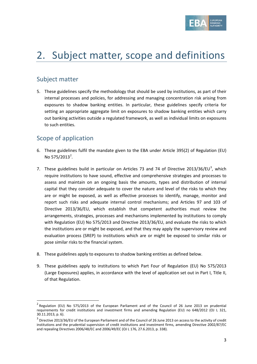

# 2. Subject matter, scope and definitions

## Subject matter

5. These guidelines specify the methodology that should be used by institutions, as part of their internal processes and policies, for addressing and managing concentration risk arising from exposures to shadow banking entities. In particular, these guidelines specify criteria for setting an appropriate aggregate limit on exposures to shadow banking entities which carry out banking activities outside a regulated framework, as well as individual limits on exposures to such entities.

## Scope of application

- 6. These guidelines fulfil the mandate given to the EBA under Article 395(2) of Regulation (EU) No 575/[2](#page-2-0)013<sup>2</sup>.
- 7. These guidelines build in particular on Articles 7[3](#page-2-1) and 74 of Directive 2013/36/EU<sup>3</sup>, which require institutions to have sound, effective and comprehensive strategies and processes to assess and maintain on an ongoing basis the amounts, types and distribution of internal capital that they consider adequate to cover the nature and level of the risks to which they are or might be exposed, as well as effective processes to identify, manage, monitor and report such risks and adequate internal control mechanisms; and Articles 97 and 103 of Directive 2013/36/EU, which establish that competent authorities must review the arrangements, strategies, processes and mechanisms implemented by institutions to comply with Regulation (EU) No 575/2013 and Directive 2013/36/EU, and evaluate the risks to which the institutions are or might be exposed, and that they may apply the supervisory review and evaluation process (SREP) to institutions which are or might be exposed to similar risks or pose similar risks to the financial system.
- 8. These guidelines apply to exposures to shadow banking entities as defined below.
- 9. These guidelines apply to institutions to which Part Four of Regulation (EU) No 575/2013 (Large Exposures) applies, in accordance with the level of application set out in Part I, Title II, of that Regulation.

<span id="page-2-0"></span><sup>&</sup>lt;sup>2</sup> Regulation (EU) No 575/2013 of the European Parliament and of the Council of 26 June 2013 on prudential requirements for credit institutions and investment firms and amending Regulation (EU) no 648/2012 (OJ L 321, 30.11.2013, p. 6).

<span id="page-2-1"></span> $3$  Directive 2013/36/EU of the European Parliament and of the Council of 26 June 2013 on access to the activity of credit institutions and the prudential supervision of credit institutions and investment firms, amending Directive 2002/87/EC and repealing Directives 2006/48/EC and 2006/49/EC (OJ L 176, 27.6.2013, p. 338).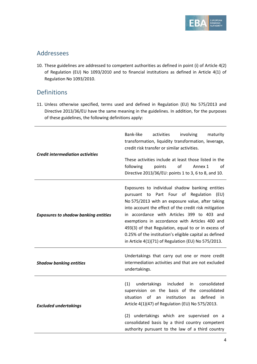

### Addressees

10. These guidelines are addressed to competent authorities as defined in point (i) of Article 4(2) of Regulation (EU) No 1093/2010 and to financial institutions as defined in Article 4(1) of Regulation No 1093/2010.

### Definitions

11. Unless otherwise specified, terms used and defined in Regulation (EU) No 575/2013 and Directive 2013/36/EU have the same meaning in the guidelines. In addition, for the purposes of these guidelines, the following definitions apply:

| <b>Credit intermediation activities</b>     | Bank-like<br>activities<br>involving<br>maturity<br>transformation, liquidity transformation, leverage,<br>credit risk transfer or similar activities.<br>These activities include at least those listed in the<br>of<br>following<br>points<br>Annex 1<br>Ωf<br>Directive 2013/36/EU: points 1 to 3, 6 to 8, and 10.                                                                                                                                                            |
|---------------------------------------------|----------------------------------------------------------------------------------------------------------------------------------------------------------------------------------------------------------------------------------------------------------------------------------------------------------------------------------------------------------------------------------------------------------------------------------------------------------------------------------|
| <b>Exposures to shadow banking entities</b> | Exposures to individual shadow banking entities<br>pursuant to Part Four of Regulation (EU)<br>No 575/2013 with an exposure value, after taking<br>into account the effect of the credit risk mitigation<br>in accordance with Articles 399 to 403 and<br>exemptions in accordance with Articles 400 and<br>493(3) of that Regulation, equal to or in excess of<br>0.25% of the institution's eligible capital as defined<br>in Article 4(1)(71) of Regulation (EU) No 575/2013. |
| <b>Shadow banking entities</b>              | Undertakings that carry out one or more credit<br>intermediation activities and that are not excluded<br>undertakings.                                                                                                                                                                                                                                                                                                                                                           |
| <b>Excluded undertakings</b>                | (1)<br>undertakings<br>included<br>consolidated<br>in<br>supervision on the basis of the consolidated<br>situation of<br>institution<br>defined<br>an<br>as<br>in<br>Article 4(1)(47) of Regulation (EU) No 575/2013.<br>undertakings which are supervised on a<br>(2)<br>consolidated basis by a third country competent<br>authority pursuant to the law of a third country                                                                                                    |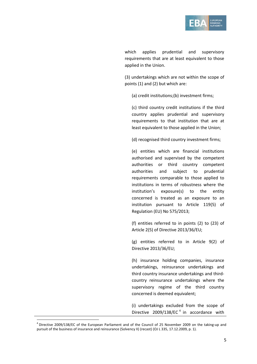

which applies prudential and supervisory requirements that are at least equivalent to those applied in the Union.

(3) undertakings which are not within the scope of points (1) and (2) but which are:

(a) credit institutions;(b) investment firms;

(c) third country credit institutions if the third country applies prudential and supervisory requirements to that institution that are at least equivalent to those applied in the Union;

(d) recognised third country investment firms;

(e) entities which are financial institutions authorised and supervised by the competent authorities or third country competent authorities and subject to prudential requirements comparable to those applied to institutions in terms of robustness where the institution's exposure(s) to the entity concerned is treated as an exposure to an institution pursuant to Article 119(5) of Regulation (EU) No 575/2013;

(f) entities referred to in points (2) to (23) of Article 2(5) of Directive 2013/36/EU;

(g) entities referred to in Article 9(2) of Directive 2013/36/EU;

(h) insurance holding companies, insurance undertakings, reinsurance undertakings and third country insurance undertakings and thirdcountry reinsurance undertakings where the supervisory regime of the third country concerned is deemed equivalent;

(i) undertakings excluded from the scope of Directive 2009/138/EC<sup>[4](#page-4-0)</sup> in accordance with

<span id="page-4-0"></span> $<sup>4</sup>$  Directive 2009/138/EC of the European Parliament and of the Council of 25 November 2009 on the taking-up and</sup> pursuit of the business of insurance and reinsurance (Solvency II) (recast) (OJ L 335, 17.12.2009, p. 1).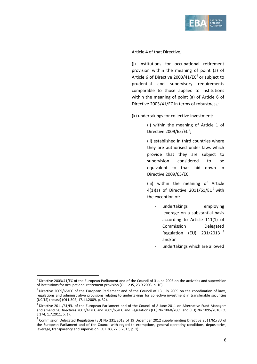

Article 4 of that Directive;

(j) institutions for occupational retirement provision within the meaning of point (a) of Article 6 of Directive  $2003/41/EC^5$  $2003/41/EC^5$  or subject to prudential and supervisory requirements comparable to those applied to institutions within the meaning of point (a) of Article 6 of Directive 2003/41/EC in terms of robustness;

(k) undertakings for collective investment:

(i) within the meaning of Article 1 of Directive 2009/[6](#page-5-1)5/EC $\degree$ ;

(ii) established in third countries where they are authorised under laws which provide that they are subject to supervision considered to be equivalent to that laid down in Directive 2009/65/EC;

(iii) within the meaning of Article 4(1)(a) of Directive 2011/61/EU<sup>[7](#page-5-2)</sup> with the exception of:

undertakings employing leverage on a substantial basis according to Article 111(1) of Commission Delegated Regulation (EU) 231/2013 [8](#page-5-3) and/or undertakings which are allowed

<span id="page-5-0"></span><sup>&</sup>lt;sup>5</sup> Directive 2003/41/EC of the European Parliament and of the Council of 3 June 2003 on the activities and supervision of institutions for occupational retirement provision (OJ L 235, 23.9.2003, p. 10).

<span id="page-5-1"></span> $6$  Directive 2009/65/EC of the European Parliament and of the Council of 13 July 2009 on the coordination of laws, regulations and administrative provisions relating to undertakings for collective investment in transferable securities (UCITS) (recast) (OJ L 302, 17.11.2009, p. 32).

<span id="page-5-2"></span> $<sup>7</sup>$  Directive 2011/61/EU of the European Parliament and of the Council of 8 June 2011 on Alternative Fund Managers</sup> and amending Directives 2003/41/EC and 2009/65/EC and Regulations (EC) No 1060/2009 and (EU) No 1095/2010 (OJ L 174, 1.7.2011, p. 1).

<span id="page-5-3"></span><sup>8</sup> Commission Delegated Regulation (EU) No 231/2013 of 19 December 2012 supplementing Directive 2011/61/EU of the European Parliament and of the Council with regard to exemptions, general operating conditions, depositaries, leverage, transparency and supervision (OJ L 83, 22.3.2013, p. 1).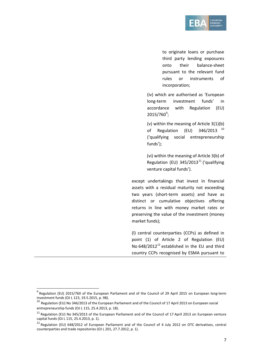

to originate loans or purchase third party lending exposures onto their balance-sheet pursuant to the relevant fund rules or instruments of incorporation;

(iv) which are authorised as 'European long-term investment funds' in accordance with Regulation (EU)  $2015/760^\circ;$ 

(v) within the meaning of Article 3(1)(b) of Regulation (EU)  $346/2013$ <sup>[10](#page-6-1)</sup> ('qualifying social entrepreneurship funds');

(vi) within the meaning of Article 3(b) of Regulation (EU)  $345/2013^{11}$  $345/2013^{11}$  $345/2013^{11}$  ('qualifying venture capital funds').

except undertakings that invest in financial assets with a residual maturity not exceeding two years (short-term assets) and have as distinct or cumulative objectives offering returns in line with money market rates or preserving the value of the investment (money market funds);

(l) central counterparties (CCPs) as defined in point (1) of Article 2 of Regulation (EU) No  $648/2012^{12}$  $648/2012^{12}$  $648/2012^{12}$  established in the EU and third country CCPs recognised by ESMA pursuant to

<span id="page-6-0"></span><sup>&</sup>lt;sup>9</sup> Regulation (EU) 2015/760 of the European Parliament and of the Council of 29 April 2015 on European long-term investment funds (OJ L 123, 19.5.2015, p. 98).

<span id="page-6-1"></span> $^{10}$  Regulation (EU) No 346/2013 of the European Parliament and of the Council of 17 April 2013 on European social entrepreneurship funds (OJ L 115, 25.4.2013, p. 18).

<span id="page-6-2"></span> $11$  Regulation (EU) No 345/2013 of the European Parliament and of the Council of 17 April 2013 on European venture capital funds (OJ L 115, 25.4.2013, p. 1).

<span id="page-6-3"></span><sup>&</sup>lt;sup>12</sup> Regulation (EU) 648/2012 of European Parliament and of the Council of 4 July 2012 on OTC derivatives, central counterparties and trade repositories (OJ L 201, 27.7.2012, p. 1).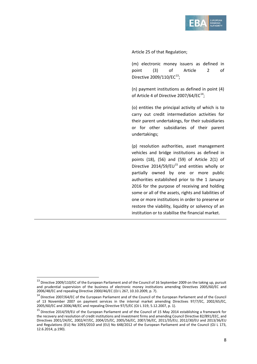

Article 25 of that Regulation;

(m) electronic money issuers as defined in point (3) of Article 2 of Directive 2009/110/EC $^{13}$  $^{13}$  $^{13}$ ;

(n) payment institutions as defined in point (4) of Article 4 of Directive 2007/64/EC $^{14}$  $^{14}$  $^{14}$ ;

(o) entities the principal activity of which is to carry out credit intermediation activities for their parent undertakings, for their subsidiaries or for other subsidiaries of their parent undertakings;

(p) resolution authorities, asset management vehicles and bridge institutions as defined in points (18), (56) and (59) of Article 2(1) of Directive 2014/59/EU<sup>[15](#page-7-2)</sup> and entities wholly or partially owned by one or more public authorities established prior to the 1 January 2016 for the purpose of receiving and holding some or all of the assets, rights and liabilities of one or more institutions in order to preserve or restore the viability, liquidity or solvency of an institution or to stabilise the financial market.

<span id="page-7-0"></span><sup>&</sup>lt;sup>13</sup> Directive 2009/110/EC of the European Parliament and of the Council of 16 September 2009 on the taking up, pursuit and prudential supervision of the business of electronic money institutions amending Directives 2005/60/EC and 2006/48/EC and repealing Directive 2000/46/EC (OJ L 267, 10.10.2009, p. 7).

<span id="page-7-1"></span><sup>&</sup>lt;sup>14</sup> Directive 2007/64/EC of the European Parliament and of the Council of the European Parliament and of the Council of 13 November 2007 on payment services in the internal market amending Directives 97/7/EC, 2002/65/EC, 2005/60/EC and 2006/48/EC and repealing Directive 97/5/EC (OJ L 319, 5.12.2007, p. 1).

<span id="page-7-2"></span><sup>15</sup> Directive 2014/59/EU of the European Parliament and of the Council of 15 May 2014 establishing a framework for the recovery and resolution of credit institutions and investment firms and amending Council Directive 82/891/EEC, and Directives 2001/24/EC, 2002/47/EC, 2004/25/EC, 2005/56/EC, 2007/36/EC, 2011/35/EU, 2012/30/EU and 2013/36/EU and Regulations (EU) No 1093/2010 and (EU) No 648/2012 of the European Parliament and of the Council (OJ L 173, 12.6.2014, p.190).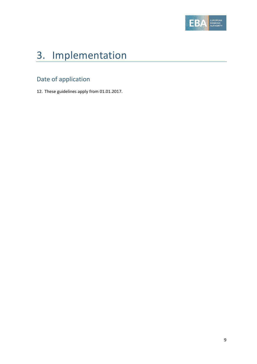

# 3. Implementation

## Date of application

12. These guidelines apply from 01.01.2017.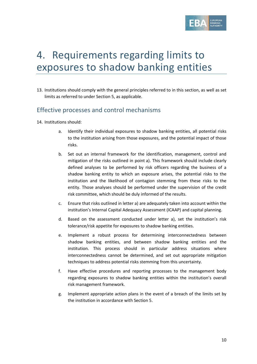

## 4. Requirements regarding limits to exposures to shadow banking entities

13. Institutions should comply with the general principles referred to in this section, as well as set limits as referred to under Section 5, as applicable.

### Effective processes and control mechanisms

- 14. Institutions should:
	- a. Identify their individual exposures to shadow banking entities, all potential risks to the institution arising from those exposures, and the potential impact of those risks.
	- b. Set out an internal framework for the identification, management, control and mitigation of the risks outlined in point a). This framework should include clearly defined analyses to be performed by risk officers regarding the business of a shadow banking entity to which an exposure arises, the potential risks to the institution and the likelihood of contagion stemming from these risks to the entity. Those analyses should be performed under the supervision of the credit risk committee, which should be duly informed of the results.
	- c. Ensure that risks outlined in letter a) are adequately taken into account within the institution's Internal Capital Adequacy Assessment (ICAAP) and capital planning.
	- d. Based on the assessment conducted under letter a), set the institution's risk tolerance/risk appetite for exposures to shadow banking entities.
	- e. Implement a robust process for determining interconnectedness between shadow banking entities, and between shadow banking entities and the institution. This process should in particular address situations where interconnectedness cannot be determined, and set out appropriate mitigation techniques to address potential risks stemming from this uncertainty.
	- f. Have effective procedures and reporting processes to the management body regarding exposures to shadow banking entities within the institution's overall risk management framework.
	- g. Implement appropriate action plans in the event of a breach of the limits set by the institution in accordance with Section 5.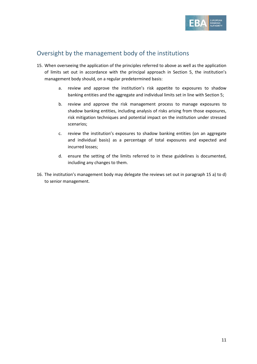

## Oversight by the management body of the institutions

- 15. When overseeing the application of the principles referred to above as well as the application of limits set out in accordance with the principal approach in Section 5, the institution's management body should, on a regular predetermined basis:
	- a. review and approve the institution's risk appetite to exposures to shadow banking entities and the aggregate and individual limits set in line with Section 5;
	- b. review and approve the risk management process to manage exposures to shadow banking entities, including analysis of risks arising from those exposures, risk mitigation techniques and potential impact on the institution under stressed scenarios;
	- c. review the institution's exposures to shadow banking entities (on an aggregate and individual basis) as a percentage of total exposures and expected and incurred losses;
	- d. ensure the setting of the limits referred to in these guidelines is documented, including any changes to them.
- 16. The institution's management body may delegate the reviews set out in paragraph 15 a) to d) to senior management.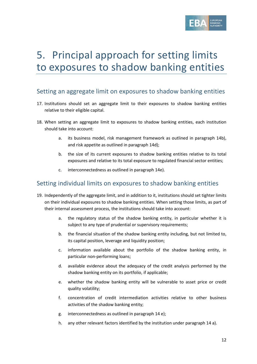

# 5. Principal approach for setting limits to exposures to shadow banking entities

### Setting an aggregate limit on exposures to shadow banking entities

- 17. Institutions should set an aggregate limit to their exposures to shadow banking entities relative to their eligible capital.
- 18. When setting an aggregate limit to exposures to shadow banking entities, each institution should take into account:
	- a. its business model, risk management framework as outlined in paragraph 14b), and risk appetite as outlined in paragraph 14d);
	- b. the size of its current exposures to shadow banking entities relative to its total exposures and relative to its total exposure to regulated financial sector entities;
	- c. interconnectedness as outlined in paragraph 14e).

#### Setting individual limits on exposures to shadow banking entities

- 19. Independently of the aggregate limit, and in addition to it, institutions should set tighter limits on their individual exposures to shadow banking entities. When setting those limits, as part of their internal assessment process, the institutions should take into account:
	- a. the regulatory status of the shadow banking entity, in particular whether it is subject to any type of prudential or supervisory requirements;
	- b. the financial situation of the shadow banking entity including, but not limited to, its capital position, leverage and liquidity position;
	- c. information available about the portfolio of the shadow banking entity, in particular non-performing loans;
	- d. available evidence about the adequacy of the credit analysis performed by the shadow banking entity on its portfolio, if applicable;
	- e. whether the shadow banking entity will be vulnerable to asset price or credit quality volatility;
	- f. concentration of credit intermediation activities relative to other business activities of the shadow banking entity;
	- g. interconnectedness as outlined in paragraph 14 e);
	- h. any other relevant factors identified by the institution under paragraph 14 a).